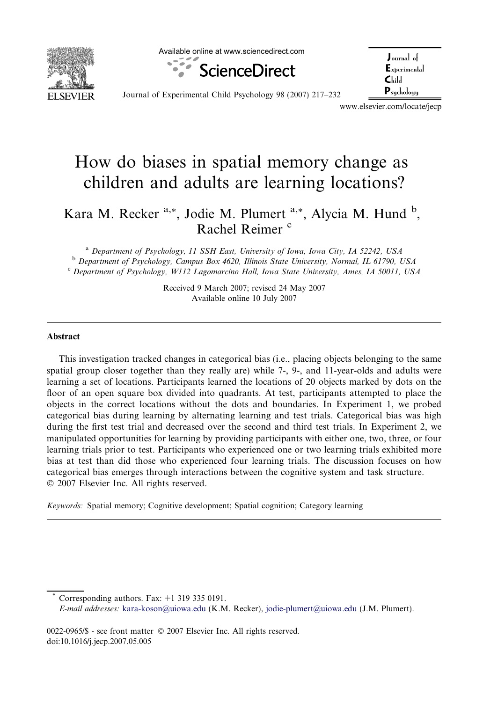

Available online at www.sciencedirect.com



| $_{\rm Journal~of}$                        |  |
|--------------------------------------------|--|
| $E_{\rm xperimental}$                      |  |
| $\mathsf{C}\mathrm{L}\mathrm{d}\mathrm{l}$ |  |
| $\mathbf{P}_{\text{suchologu}}$            |  |

Journal of Experimental Child Psychology 98 (2007) 217–232

www.elsevier.com/locate/jecp

## How do biases in spatial memory change as children and adults are learning locations?

Kara M. Recker <sup>a,\*</sup>, Jodie M. Plumert <sup>a,\*</sup>, Alycia M. Hund <sup>b</sup>, Rachel Reimer<sup>c</sup>

<sup>a</sup> Department of Psychology, 11 SSH East, University of Iowa, Iowa City, IA 52242, USA <sup>b</sup> Department of Psychology, Campus Box 4620, Illinois State University, Normal, IL 61790, USA <sup>c</sup> Department of Psychology, W112 Lagomarcino Hall, Iowa State University, Ames, IA 50011, USA

> Received 9 March 2007; revised 24 May 2007 Available online 10 July 2007

## Abstract

This investigation tracked changes in categorical bias (i.e., placing objects belonging to the same spatial group closer together than they really are) while 7-, 9-, and 11-year-olds and adults were learning a set of locations. Participants learned the locations of 20 objects marked by dots on the floor of an open square box divided into quadrants. At test, participants attempted to place the objects in the correct locations without the dots and boundaries. In Experiment 1, we probed categorical bias during learning by alternating learning and test trials. Categorical bias was high during the first test trial and decreased over the second and third test trials. In Experiment 2, we manipulated opportunities for learning by providing participants with either one, two, three, or four learning trials prior to test. Participants who experienced one or two learning trials exhibited more bias at test than did those who experienced four learning trials. The discussion focuses on how categorical bias emerges through interactions between the cognitive system and task structure. © 2007 Elsevier Inc. All rights reserved.

Keywords: Spatial memory; Cognitive development; Spatial cognition; Category learning

Corresponding authors. Fax:  $+1$  319 335 0191. E-mail addresses: [kara-koson@uiowa.edu](mailto:kara-koson@uiowa.edu) (K.M. Recker), [jodie-plumert@uiowa.edu](mailto:jodie-plumert@uiowa.edu) (J.M. Plumert).

0022-0965/\$ - see front matter © 2007 Elsevier Inc. All rights reserved. doi:10.1016/j.jecp.2007.05.005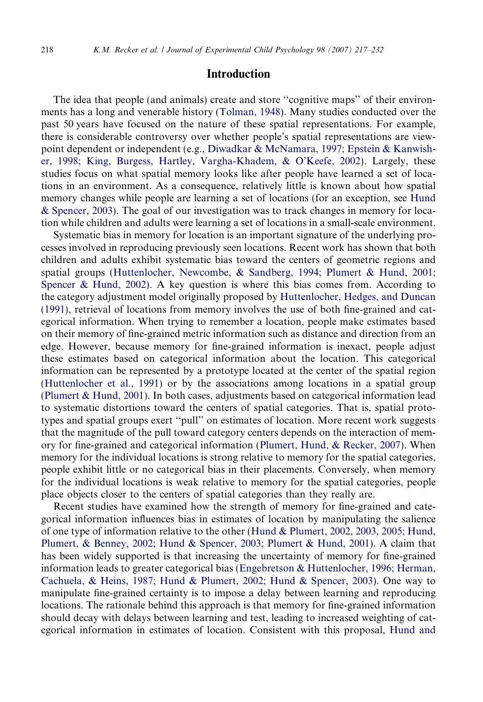## Introduction

The idea that people (and animals) create and store ''cognitive maps'' of their environments has a long and venerable history ([Tolman, 1948\)](#page--1-0). Many studies conducted over the past 50 years have focused on the nature of these spatial representations. For example, there is considerable controversy over whether people's spatial representations are viewpoint dependent or independent (e.g., [Diwadkar & McNamara, 1997; Epstein & Kanwish](#page--1-0)[er, 1998; King, Burgess, Hartley, Vargha-Khadem, & O'Keefe, 2002](#page--1-0)). Largely, these studies focus on what spatial memory looks like after people have learned a set of locations in an environment. As a consequence, relatively little is known about how spatial memory changes while people are learning a set of locations (for an exception, see [Hund](#page--1-0) [& Spencer, 2003](#page--1-0)). The goal of our investigation was to track changes in memory for location while children and adults were learning a set of locations in a small-scale environment.

Systematic bias in memory for location is an important signature of the underlying processes involved in reproducing previously seen locations. Recent work has shown that both children and adults exhibit systematic bias toward the centers of geometric regions and spatial groups ([Huttenlocher, Newcombe, & Sandberg, 1994; Plumert & Hund, 2001;](#page--1-0) [Spencer & Hund, 2002\)](#page--1-0). A key question is where this bias comes from. According to the category adjustment model originally proposed by [Huttenlocher, Hedges, and Duncan](#page--1-0) [\(1991\)](#page--1-0), retrieval of locations from memory involves the use of both fine-grained and categorical information. When trying to remember a location, people make estimates based on their memory of fine-grained metric information such as distance and direction from an edge. However, because memory for fine-grained information is inexact, people adjust these estimates based on categorical information about the location. This categorical information can be represented by a prototype located at the center of the spatial region [\(Huttenlocher et al., 1991](#page--1-0)) or by the associations among locations in a spatial group [\(Plumert & Hund, 2001\)](#page--1-0). In both cases, adjustments based on categorical information lead to systematic distortions toward the centers of spatial categories. That is, spatial prototypes and spatial groups exert ''pull'' on estimates of location. More recent work suggests that the magnitude of the pull toward category centers depends on the interaction of memory for fine-grained and categorical information ([Plumert, Hund, & Recker, 2007](#page--1-0)). When memory for the individual locations is strong relative to memory for the spatial categories, people exhibit little or no categorical bias in their placements. Conversely, when memory for the individual locations is weak relative to memory for the spatial categories, people place objects closer to the centers of spatial categories than they really are.

Recent studies have examined how the strength of memory for fine-grained and categorical information influences bias in estimates of location by manipulating the salience of one type of information relative to the other [\(Hund & Plumert, 2002, 2003, 2005; Hund,](#page--1-0) [Plumert, & Benney, 2002; Hund & Spencer, 2003; Plumert & Hund, 2001](#page--1-0)). A claim that has been widely supported is that increasing the uncertainty of memory for fine-grained information leads to greater categorical bias ([Engebretson & Huttenlocher, 1996; Herman,](#page--1-0) [Cachuela, & Heins, 1987; Hund & Plumert, 2002; Hund & Spencer, 2003](#page--1-0)). One way to manipulate fine-grained certainty is to impose a delay between learning and reproducing locations. The rationale behind this approach is that memory for fine-grained information should decay with delays between learning and test, leading to increased weighting of categorical information in estimates of location. Consistent with this proposal, [Hund and](#page--1-0)